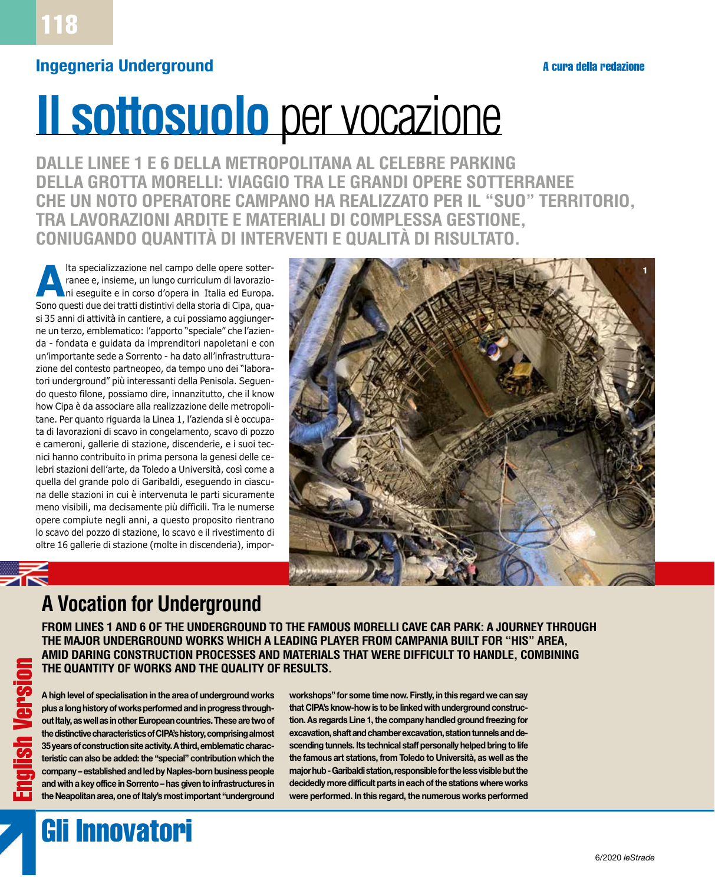#### **Ingegneria Underground**

# **Il sottosuolo** per vocazione

**DALLE LINEE 1 E 6 DELLA METROPOLITANA AL CELEBRE PARKING DELLA GROTTA MORELLI: VIAGGIO TRA LE GRANDI OPERE SOTTERRANEE CHE UN NOTO OPERATORE CAMPANO HA REALIZZATO PER IL "SUO" TERRITORIO, TRA LAVORAZIONI ARDITE E MATERIALI DI COMPLESSA GESTIONE, CONIUGANDO QUANTITÀ DI INTERVENTI E QUALITÀ DI RISULTATO.**

Ita specializzazione nel campo delle opere sotter-<br>
ranee e, insieme, un lungo curriculum di lavorazio-<br>
ni eseguite e in corso d'opera in Italia ed Europa. ranee e, insieme, un lungo curriculum di lavorazioni eseguite e in corso d'opera in Italia ed Europa. Sono questi due dei tratti distintivi della storia di Cipa, quasi 35 anni di attività in cantiere, a cui possiamo aggiungerne un terzo, emblematico: l'apporto "speciale" che l'azienda - fondata e guidata da imprenditori napoletani e con un'importante sede a Sorrento - ha dato all'infrastrutturazione del contesto partneopeo, da tempo uno dei "laboratori underground" più interessanti della Penisola. Seguendo questo filone, possiamo dire, innanzitutto, che il know how Cipa è da associare alla realizzazione delle metropolitane. Per quanto riguarda la Linea 1, l'azienda si è occupata di lavorazioni di scavo in congelamento, scavo di pozzo e cameroni, gallerie di stazione, discenderie, e i suoi tecnici hanno contribuito in prima persona la genesi delle celebri stazioni dell'arte, da Toledo a Università, così come a quella del grande polo di Garibaldi, eseguendo in ciascuna delle stazioni in cui è intervenuta le parti sicuramente meno visibili, ma decisamente più difficili. Tra le numerse opere compiute negli anni, a questo proposito rientrano lo scavo del pozzo di stazione, lo scavo e il rivestimento di oltre 16 gallerie di stazione (molte in discenderia), impor-



## **A Vocation for Underground**

**FROM LINES 1 AND 6 OF THE UNDERGROUND TO THE FAMOUS MORELLI CAVE CAR PARK: A JOURNEY THROUGH THE MAJOR UNDERGROUND WORKS WHICH A LEADING PLAYER FROM CAMPANIA BUILT FOR "HIS" AREA, AMID DARING CONSTRUCTION PROCESSES AND MATERIALS THAT WERE DIFFICULT TO HANDLE, COMBINING THE QUANTITY OF WORKS AND THE QUALITY OF RESULTS.**

**A high level of specialisation in the area of underground works plus a long history of works performed and in progress throughout Italy, as well as in other European countries. These are two of the distinctive characteristics of CIPA's history, comprising almost 35 years of construction site activity. A third, emblematic characteristic can also be added: the "special" contribution which the company – established and led by Naples-born business people and with a key office in Sorrento – has given to infrastructures in the Neapolitan area, one of Italy's most important "underground** 

**workshops" for some time now. Firstly, in this regard we can say that CIPA's know-how is to be linked with underground construction. As regards Line 1, the company handled ground freezing for excavation, shaft and chamber excavation, station tunnels and descending tunnels. Its technical staff personally helped bring to life the famous art stations, from Toledo to Università, as well as the major hub - Garibaldi station, responsible for the less visible but the decidedly more difficult parts in each of the stations where works were performed. In this regard, the numerous works performed** 

## Gli Innovatori

English Version

sh Version